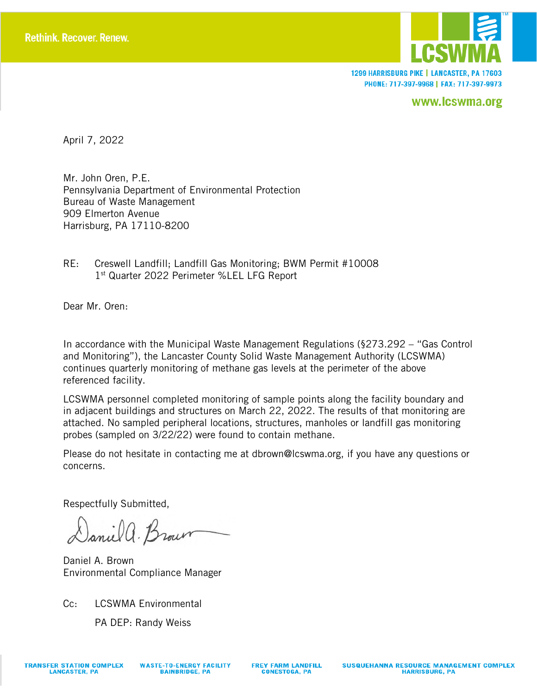

1299 HARRISBURG PIKE | LANCASTER, PA 17603 PHONE: 717-397-9968 | FAX: 717-397-9973

www.lcswma.org

April 7, 2022

Mr. John Oren, P.E. Pennsylvania Department of Environmental Protection Bureau of Waste Management 909 Elmerton Avenue Harrisburg, PA 17110-8200

RE: Creswell Landfill; Landfill Gas Monitoring; BWM Permit #10008 1st Quarter 2022 Perimeter %LEL LFG Report

Dear Mr. Oren:

In accordance with the Municipal Waste Management Regulations (§273.292 – "Gas Control and Monitoring"), the Lancaster County Solid Waste Management Authority (LCSWMA) continues quarterly monitoring of methane gas levels at the perimeter of the above referenced facility.

LCSWMA personnel completed monitoring of sample points along the facility boundary and in adjacent buildings and structures on March 22, 2022. The results of that monitoring are attached. No sampled peripheral locations, structures, manholes or landfill gas monitoring probes (sampled on 3/22/22) were found to contain methane.

Please do not hesitate in contacting me at dbrown@lcswma.org, if you have any questions or concerns.

Respectfully Submitted,

Daniel a. Brown

Daniel A. Brown Environmental Compliance Manager

Cc: LCSWMA Environmental

PA DEP: Randy Weiss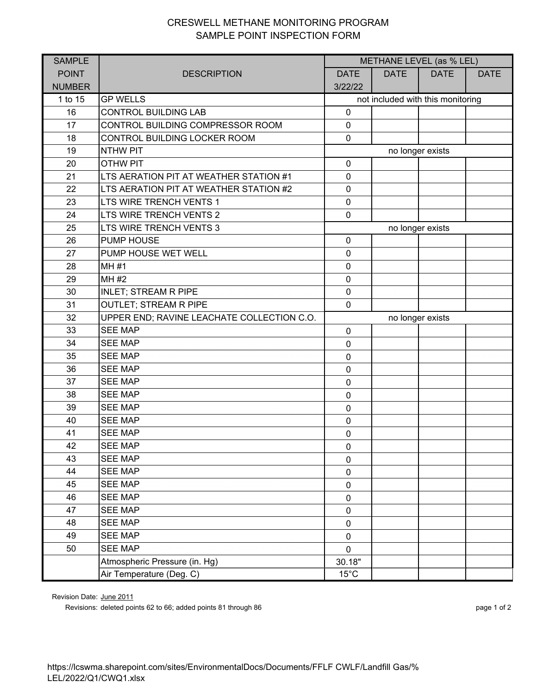## CRESWELL METHANE MONITORING PROGRAM SAMPLE POINT INSPECTION FORM

| <b>SAMPLE</b> |                                            | METHANE LEVEL (as % LEL)          |             |             |             |  |
|---------------|--------------------------------------------|-----------------------------------|-------------|-------------|-------------|--|
| <b>POINT</b>  | <b>DESCRIPTION</b>                         | <b>DATE</b>                       | <b>DATE</b> | <b>DATE</b> | <b>DATE</b> |  |
| <b>NUMBER</b> |                                            | 3/22/22                           |             |             |             |  |
| 1 to 15       | <b>GP WELLS</b>                            | not included with this monitoring |             |             |             |  |
| 16            | <b>CONTROL BUILDING LAB</b>                | $\mathbf 0$                       |             |             |             |  |
| 17            | CONTROL BUILDING COMPRESSOR ROOM           | $\mathbf 0$                       |             |             |             |  |
| 18            | CONTROL BUILDING LOCKER ROOM               | $\mathbf 0$                       |             |             |             |  |
| 19            | <b>NTHW PIT</b>                            | no longer exists                  |             |             |             |  |
| 20            | <b>OTHW PIT</b>                            | $\mathbf 0$                       |             |             |             |  |
| 21            | LTS AERATION PIT AT WEATHER STATION #1     | $\pmb{0}$                         |             |             |             |  |
| 22            | LTS AERATION PIT AT WEATHER STATION #2     | $\mathbf 0$                       |             |             |             |  |
| 23            | LTS WIRE TRENCH VENTS 1                    | $\mathbf 0$                       |             |             |             |  |
| 24            | LTS WIRE TRENCH VENTS 2                    | $\mathbf 0$                       |             |             |             |  |
| 25            | LTS WIRE TRENCH VENTS 3                    | no longer exists                  |             |             |             |  |
| 26            | PUMP HOUSE                                 | $\pmb{0}$                         |             |             |             |  |
| 27            | PUMP HOUSE WET WELL                        | $\pmb{0}$                         |             |             |             |  |
| 28            | <b>MH#1</b>                                | $\mathbf 0$                       |             |             |             |  |
| 29            | MH #2                                      | $\mathbf 0$                       |             |             |             |  |
| 30            | <b>INLET; STREAM R PIPE</b>                | $\mathbf 0$                       |             |             |             |  |
| 31            | <b>OUTLET; STREAM R PIPE</b>               | $\mathbf 0$                       |             |             |             |  |
| 32            | UPPER END; RAVINE LEACHATE COLLECTION C.O. | no longer exists                  |             |             |             |  |
| 33            | <b>SEE MAP</b>                             | $\pmb{0}$                         |             |             |             |  |
| 34            | <b>SEE MAP</b>                             | $\mathbf 0$                       |             |             |             |  |
| 35            | <b>SEE MAP</b>                             | $\mathbf 0$                       |             |             |             |  |
| 36            | <b>SEE MAP</b>                             | $\pmb{0}$                         |             |             |             |  |
| 37            | <b>SEE MAP</b>                             | $\pmb{0}$                         |             |             |             |  |
| 38            | <b>SEE MAP</b>                             | $\mathbf 0$                       |             |             |             |  |
| 39            | <b>SEE MAP</b>                             | 0                                 |             |             |             |  |
| 40            | <b>SEE MAP</b>                             | $\mathbf 0$                       |             |             |             |  |
| 41            | <b>SEE MAP</b>                             | $\mathbf 0$                       |             |             |             |  |
| 42            | <b>SEE MAP</b>                             | 0                                 |             |             |             |  |
| 43            | <b>SEE MAP</b>                             | $\mathbf 0$                       |             |             |             |  |
| 44            | <b>SEE MAP</b>                             | $\pmb{0}$                         |             |             |             |  |
| 45            | <b>SEE MAP</b>                             | $\mathbf 0$                       |             |             |             |  |
| 46            | <b>SEE MAP</b>                             | 0                                 |             |             |             |  |
| 47            | <b>SEE MAP</b>                             | $\mathbf 0$                       |             |             |             |  |
| 48            | SEE MAP                                    | $\mathbf 0$                       |             |             |             |  |
| 49            | <b>SEE MAP</b>                             | $\mathbf 0$                       |             |             |             |  |
| 50            | <b>SEE MAP</b>                             | $\mathbf 0$                       |             |             |             |  |
|               | Atmospheric Pressure (in. Hg)              | 30.18"                            |             |             |             |  |
|               | Air Temperature (Deg. C)                   | $15^{\circ}$ C                    |             |             |             |  |

Revision Date: June 2011

Revisions: deleted points 62 to 66; added points 81 through 86 page 1 of 2